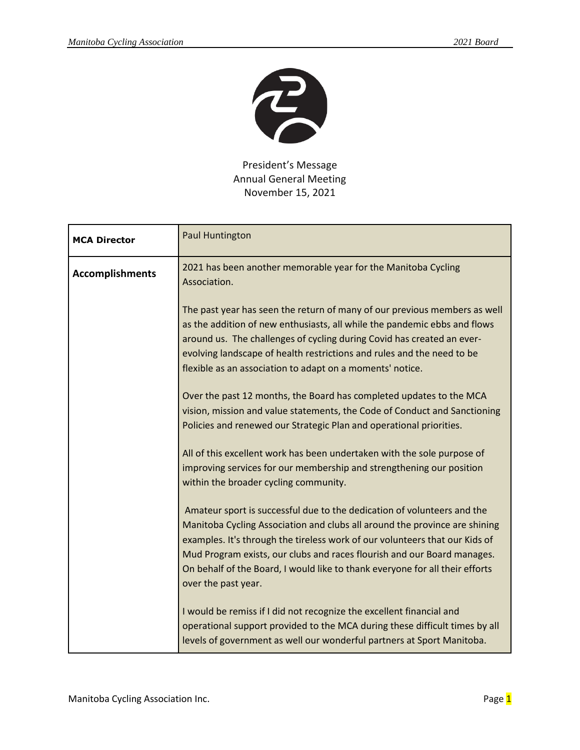

President's Message Annual General Meeting November 15, 2021

| <b>MCA Director</b>    | Paul Huntington                                                                                                                                                                                                                                                                                                                                                                                                        |
|------------------------|------------------------------------------------------------------------------------------------------------------------------------------------------------------------------------------------------------------------------------------------------------------------------------------------------------------------------------------------------------------------------------------------------------------------|
| <b>Accomplishments</b> | 2021 has been another memorable year for the Manitoba Cycling<br>Association.                                                                                                                                                                                                                                                                                                                                          |
|                        | The past year has seen the return of many of our previous members as well<br>as the addition of new enthusiasts, all while the pandemic ebbs and flows<br>around us. The challenges of cycling during Covid has created an ever-<br>evolving landscape of health restrictions and rules and the need to be<br>flexible as an association to adapt on a moments' notice.                                                |
|                        | Over the past 12 months, the Board has completed updates to the MCA<br>vision, mission and value statements, the Code of Conduct and Sanctioning<br>Policies and renewed our Strategic Plan and operational priorities.                                                                                                                                                                                                |
|                        | All of this excellent work has been undertaken with the sole purpose of<br>improving services for our membership and strengthening our position<br>within the broader cycling community.                                                                                                                                                                                                                               |
|                        | Amateur sport is successful due to the dedication of volunteers and the<br>Manitoba Cycling Association and clubs all around the province are shining<br>examples. It's through the tireless work of our volunteers that our Kids of<br>Mud Program exists, our clubs and races flourish and our Board manages.<br>On behalf of the Board, I would like to thank everyone for all their efforts<br>over the past year. |
|                        | I would be remiss if I did not recognize the excellent financial and<br>operational support provided to the MCA during these difficult times by all<br>levels of government as well our wonderful partners at Sport Manitoba.                                                                                                                                                                                          |